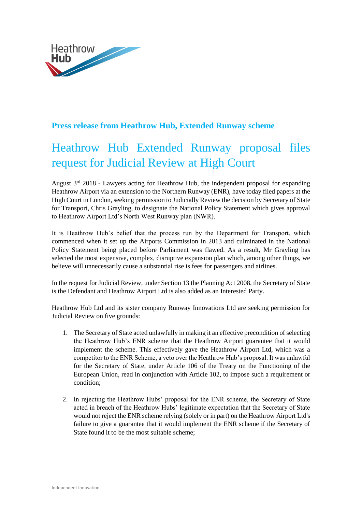

## **Press release from Heathrow Hub, Extended Runway scheme**

## Heathrow Hub Extended Runway proposal files request for Judicial Review at High Court

August  $3<sup>rd</sup>$  2018 - Lawyers acting for Heathrow Hub, the independent proposal for expanding Heathrow Airport via an extension to the Northern Runway (ENR), have today filed papers at the High Court in London, seeking permission to Judicially Review the decision by Secretary of State for Transport, Chris Grayling, to designate the National Policy Statement which gives approval to Heathrow Airport Ltd's North West Runway plan (NWR).

It is Heathrow Hub's belief that the process run by the Department for Transport, which commenced when it set up the Airports Commission in 2013 and culminated in the National Policy Statement being placed before Parliament was flawed. As a result, Mr Grayling has selected the most expensive, complex, disruptive expansion plan which, among other things, we believe will unnecessarily cause a substantial rise is fees for passengers and airlines.

In the request for Judicial Review, under Section 13 the Planning Act 2008, the Secretary of State is the Defendant and Heathrow Airport Ltd is also added as an Interested Party.

Heathrow Hub Ltd and its sister company Runway Innovations Ltd are seeking permission for Judicial Review on five grounds:

- 1. The Secretary of State acted unlawfully in making it an effective precondition of selecting the Heathrow Hub's ENR scheme that the Heathrow Airport guarantee that it would implement the scheme. This effectively gave the Heathrow Airport Ltd, which was a competitor to the ENR Scheme, a veto over the Heathrow Hub's proposal. It was unlawful for the Secretary of State, under Article 106 of the Treaty on the Functioning of the European Union, read in conjunction with Article 102, to impose such a requirement or condition;
- 2. In rejecting the Heathrow Hubs' proposal for the ENR scheme, the Secretary of State acted in breach of the Heathrow Hubs' legitimate expectation that the Secretary of State would not reject the ENR scheme relying (solely or in part) on the Heathrow Airport Ltd's failure to give a guarantee that it would implement the ENR scheme if the Secretary of State found it to be the most suitable scheme;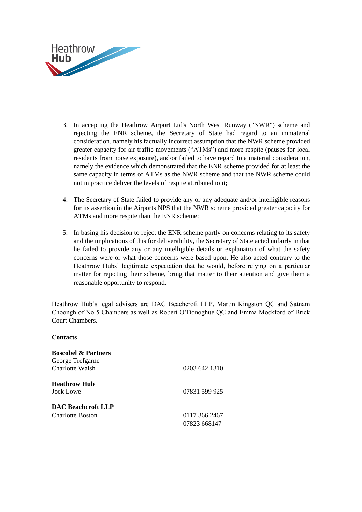

- 3. In accepting the Heathrow Airport Ltd's North West Runway ("NWR") scheme and rejecting the ENR scheme, the Secretary of State had regard to an immaterial consideration, namely his factually incorrect assumption that the NWR scheme provided greater capacity for air traffic movements ("ATMs") and more respite (pauses for local residents from noise exposure), and/or failed to have regard to a material consideration, namely the evidence which demonstrated that the ENR scheme provided for at least the same capacity in terms of ATMs as the NWR scheme and that the NWR scheme could not in practice deliver the levels of respite attributed to it;
- 4. The Secretary of State failed to provide any or any adequate and/or intelligible reasons for its assertion in the Airports NPS that the NWR scheme provided greater capacity for ATMs and more respite than the ENR scheme;
- 5. In basing his decision to reject the ENR scheme partly on concerns relating to its safety and the implications of this for deliverability, the Secretary of State acted unfairly in that he failed to provide any or any intelligible details or explanation of what the safety concerns were or what those concerns were based upon. He also acted contrary to the Heathrow Hubs' legitimate expectation that he would, before relying on a particular matter for rejecting their scheme, bring that matter to their attention and give them a reasonable opportunity to respond.

Heathrow Hub's legal advisers are DAC Beachcroft LLP, Martin Kingston QC and Satnam Choongh of No 5 Chambers as well as Robert O'Donoghue QC and Emma Mockford of Brick Court Chambers.

## **Contacts**

| <b>Boscobel &amp; Partners</b> |               |
|--------------------------------|---------------|
| George Trefgarne               |               |
| Charlotte Walsh                | 0203 642 1310 |
| <b>Heathrow Hub</b>            |               |
| Jock Lowe                      | 07831 599 925 |
| <b>DAC Beachcroft LLP</b>      |               |
| Charlotte Boston               | 0117 366 2467 |
|                                | 07823 668147  |